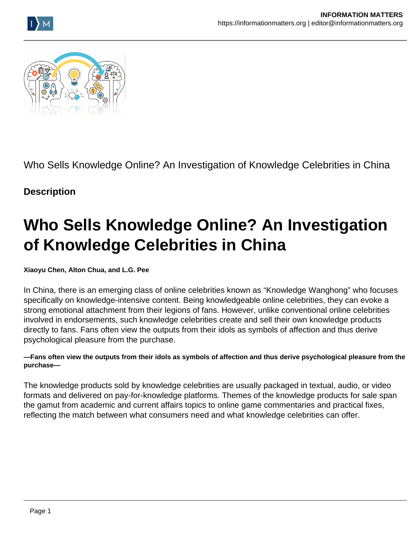



Who Sells Knowledge Online? An Investigation of Knowledge Celebrities in China

## **Description**

## **Who Sells Knowledge Online? An Investigation of Knowledge Celebrities in China**

**Xiaoyu Chen, Alton Chua, and L.G. Pee**

In China, there is an emerging class of online celebrities known as "Knowledge Wanghong" who focuses specifically on knowledge-intensive content. Being knowledgeable online celebrities, they can evoke a strong emotional attachment from their legions of fans. However, unlike conventional online celebrities involved in endorsements, such knowledge celebrities create and sell their own knowledge products directly to fans. Fans often view the outputs from their idols as symbols of affection and thus derive psychological pleasure from the purchase.

## **—Fans often view the outputs from their idols as symbols of affection and thus derive psychological pleasure from the purchase—**

The knowledge products sold by knowledge celebrities are usually packaged in textual, audio, or video formats and delivered on pay-for-knowledge platforms. Themes of the knowledge products for sale span the gamut from academic and current affairs topics to online game commentaries and practical fixes, reflecting the match between what consumers need and what knowledge celebrities can offer.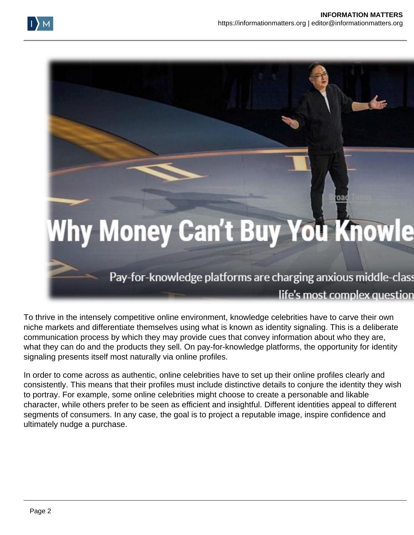

To thrive in the intensely competitive online environment, knowledge celebrities have to carve their own niche markets and differentiate themselves using what is known as identity signaling. This is a deliberate communication process by which they may provide cues that convey information about who they are, what they can do and the products they sell. On pay-for-knowledge platforms, the opportunity for identity signaling presents itself most naturally via online profiles.

In order to come across as authentic, online celebrities have to set up their online profiles clearly and consistently. This means that their profiles must include distinctive details to conjure the identity they wish to portray. For example, some online celebrities might choose to create a personable and likable character, while others prefer to be seen as efficient and insightful. Different identities appeal to different segments of consumers. In any case, the goal is to project a reputable image, inspire confidence and ultimately nudge a purchase.